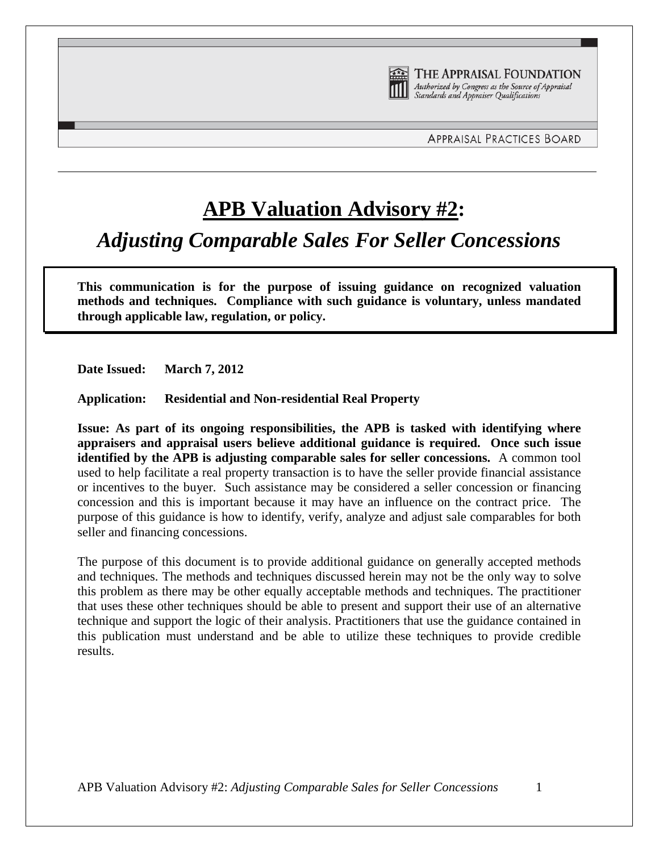

THE APPRAISAL FOUNDATION Authorized by Congress as the Source of Appraisal Standards and Appraiser Qualifications

## **APB Valuation Advisory #2:**

*Adjusting Comparable Sales For Seller Concessions*

**This communication is for the purpose of issuing guidance on recognized valuation methods and techniques. Compliance with such guidance is voluntary, unless mandated through applicable law, regulation, or policy.**

**Date Issued: March 7, 2012**

**Application: Residential and Non-residential Real Property** 

**Issue: As part of its ongoing responsibilities, the APB is tasked with identifying where appraisers and appraisal users believe additional guidance is required. Once such issue identified by the APB is adjusting comparable sales for seller concessions.** A common tool used to help facilitate a real property transaction is to have the seller provide financial assistance or incentives to the buyer. Such assistance may be considered a seller concession or financing concession and this is important because it may have an influence on the contract price. The purpose of this guidance is how to identify, verify, analyze and adjust sale comparables for both seller and financing concessions.

The purpose of this document is to provide additional guidance on generally accepted methods and techniques. The methods and techniques discussed herein may not be the only way to solve this problem as there may be other equally acceptable methods and techniques. The practitioner that uses these other techniques should be able to present and support their use of an alternative technique and support the logic of their analysis. Practitioners that use the guidance contained in this publication must understand and be able to utilize these techniques to provide credible results.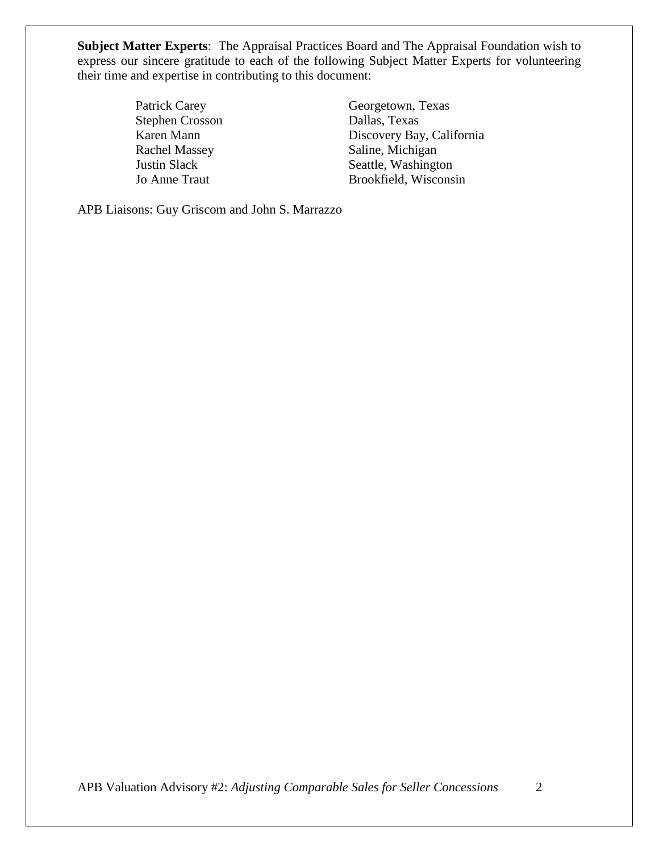**Subject Matter Experts**: The Appraisal Practices Board and The Appraisal Foundation wish to express our sincere gratitude to each of the following Subject Matter Experts for volunteering their time and expertise in contributing to this document:

Stephen Crosson Dallas, Texas

Patrick Carey Georgetown, Texas Karen Mann Discovery Bay, California Rachel Massey Saline, Michigan **Justin Slack** Seattle, Washington Jo Anne Traut Brookfield, Wisconsin

APB Liaisons: Guy Griscom and John S. Marrazzo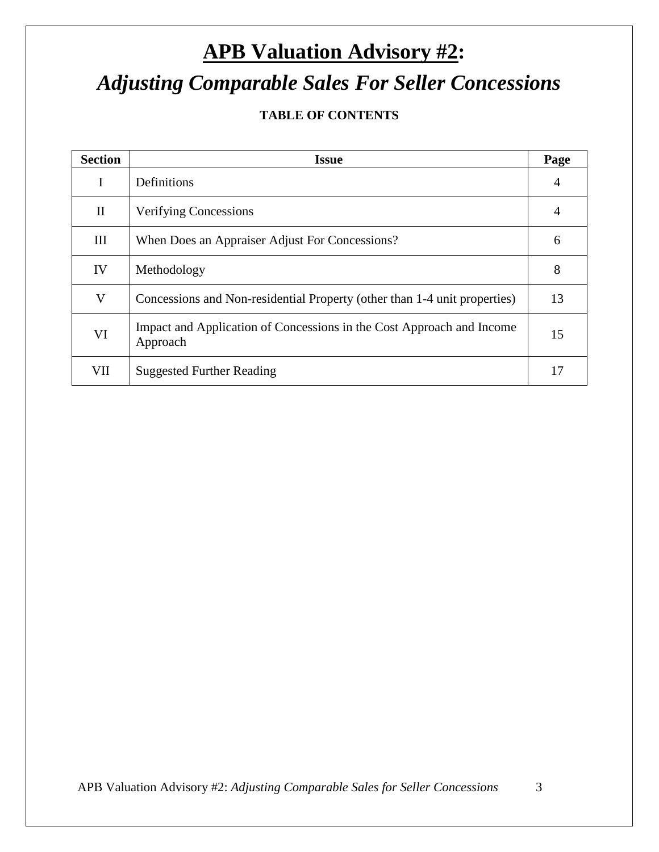# **APB Valuation Advisory #2:** *Adjusting Comparable Sales For Seller Concessions*

### **TABLE OF CONTENTS**

| <b>Section</b> | <b>Issue</b>                                                                      | Page           |
|----------------|-----------------------------------------------------------------------------------|----------------|
| I              | Definitions                                                                       | $\overline{4}$ |
| $\mathbf{I}$   | <b>Verifying Concessions</b>                                                      | $\overline{4}$ |
| III            | When Does an Appraiser Adjust For Concessions?                                    | 6              |
| IV             | Methodology                                                                       | 8              |
| V              | Concessions and Non-residential Property (other than 1-4 unit properties)         | 13             |
| VI             | Impact and Application of Concessions in the Cost Approach and Income<br>Approach | 15             |
| VII            | <b>Suggested Further Reading</b>                                                  | 17             |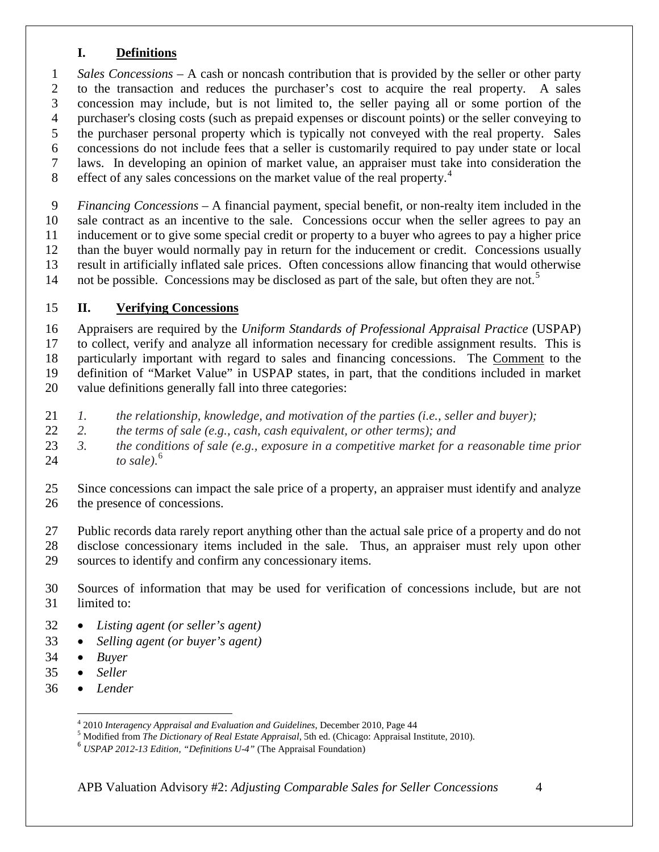#### **I. Definitions**

 *Sales Concessions* – A cash or noncash contribution that is provided by the seller or other party to the transaction and reduces the purchaser's cost to acquire the real property. A sales concession may include, but is not limited to, the seller paying all or some portion of the purchaser's closing costs (such as prepaid expenses or discount points) or the seller conveying to the purchaser personal property which is typically not conveyed with the real property. Sales concessions do not include fees that a seller is customarily required to pay under state or local laws. In developing an opinion of market value, an appraiser must take into consideration the effect of any sales concessions on the market value of the real property.<sup>[4](#page-3-0)</sup> 

 *Financing Concessions* – A financial payment, special benefit, or non-realty item included in the sale contract as an incentive to the sale. Concessions occur when the seller agrees to pay an inducement or to give some special credit or property to a buyer who agrees to pay a higher price than the buyer would normally pay in return for the inducement or credit. Concessions usually result in artificially inflated sale prices. Often concessions allow financing that would otherwise 14 not be possible. Concessions may be disclosed as part of the sale, but often they are not.<sup>[5](#page-3-1)</sup>

#### **II. Verifying Concessions**

 Appraisers are required by the *Uniform Standards of Professional Appraisal Practice* (USPAP) to collect, verify and analyze all information necessary for credible assignment results. This is particularly important with regard to sales and financing concessions. The Comment to the definition of "Market Value" in USPAP states, in part, that the conditions included in market value definitions generally fall into three categories:

- *1. the relationship, knowledge, and motivation of the parties (i.e., seller and buyer);*
- *2. the terms of sale (e.g., cash, cash equivalent, or other terms); and*
- *3. the conditions of sale (e.g., exposure in a competitive market for a reasonable time prior to sale)*. [6](#page-3-2)
- Since concessions can impact the sale price of a property, an appraiser must identify and analyze the presence of concessions.

 Public records data rarely report anything other than the actual sale price of a property and do not disclose concessionary items included in the sale. Thus, an appraiser must rely upon other sources to identify and confirm any concessionary items.

- Sources of information that may be used for verification of concessions include, but are not limited to:
- *Listing agent (or seller's agent)*
- *Selling agent (or buyer's agent)*
- *Buyer*
- *Seller*
- <span id="page-3-2"></span><span id="page-3-1"></span><span id="page-3-0"></span>• *Lender*

<sup>&</sup>lt;sup>4</sup> 2010 Interagency Appraisal and Evaluation and Guidelines, December 2010, Page 44<br><sup>5</sup> Modified from *The Dictionary of Real Estate Appraisal*, 5th ed. (Chicago: Appraisal Institute, 2010).<br><sup>6</sup> USPAP 2012-13 Edition, "D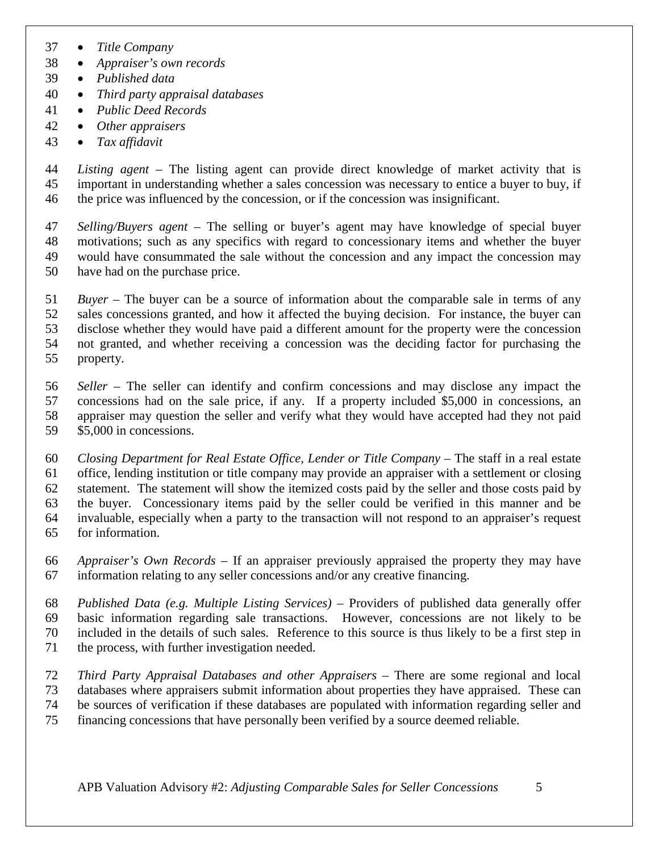- *Title Company*
- *Appraiser's own records*
- *Published data*
- *Third party appraisal databases*
- *Public Deed Records*
- *Other appraisers*
- *Tax affidavit*

 *Listing agent* – The listing agent can provide direct knowledge of market activity that is important in understanding whether a sales concession was necessary to entice a buyer to buy, if the price was influenced by the concession, or if the concession was insignificant.

 *Selling/Buyers agent* – The selling or buyer's agent may have knowledge of special buyer motivations; such as any specifics with regard to concessionary items and whether the buyer would have consummated the sale without the concession and any impact the concession may have had on the purchase price.

 *Buyer* – The buyer can be a source of information about the comparable sale in terms of any sales concessions granted, and how it affected the buying decision. For instance, the buyer can disclose whether they would have paid a different amount for the property were the concession not granted, and whether receiving a concession was the deciding factor for purchasing the property.

 *Seller* – The seller can identify and confirm concessions and may disclose any impact the concessions had on the sale price, if any. If a property included \$5,000 in concessions, an appraiser may question the seller and verify what they would have accepted had they not paid \$5,000 in concessions.

 *Closing Department for Real Estate Office, Lender or Title Company* – The staff in a real estate office, lending institution or title company may provide an appraiser with a settlement or closing statement. The statement will show the itemized costs paid by the seller and those costs paid by the buyer. Concessionary items paid by the seller could be verified in this manner and be invaluable, especially when a party to the transaction will not respond to an appraiser's request for information.

 *Appraiser's Own Records* – If an appraiser previously appraised the property they may have information relating to any seller concessions and/or any creative financing.

 *Published Data (e.g. Multiple Listing Services)* – Providers of published data generally offer basic information regarding sale transactions. However, concessions are not likely to be included in the details of such sales. Reference to this source is thus likely to be a first step in

the process, with further investigation needed.

 *Third Party Appraisal Databases and other Appraisers* – There are some regional and local databases where appraisers submit information about properties they have appraised. These can be sources of verification if these databases are populated with information regarding seller and

financing concessions that have personally been verified by a source deemed reliable.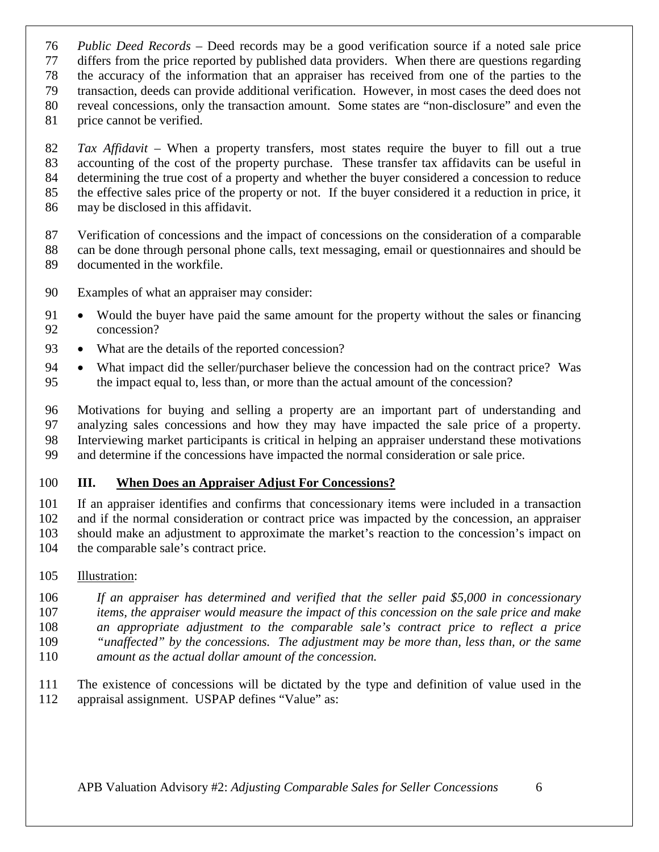*Public Deed Records* – Deed records may be a good verification source if a noted sale price

differs from the price reported by published data providers. When there are questions regarding

the accuracy of the information that an appraiser has received from one of the parties to the

transaction, deeds can provide additional verification. However, in most cases the deed does not

reveal concessions, only the transaction amount. Some states are "non-disclosure" and even the

price cannot be verified.

 *Tax Affidavit* – When a property transfers, most states require the buyer to fill out a true accounting of the cost of the property purchase. These transfer tax affidavits can be useful in determining the true cost of a property and whether the buyer considered a concession to reduce the effective sales price of the property or not. If the buyer considered it a reduction in price, it may be disclosed in this affidavit.

 Verification of concessions and the impact of concessions on the consideration of a comparable can be done through personal phone calls, text messaging, email or questionnaires and should be documented in the workfile.

- Examples of what an appraiser may consider:
- Would the buyer have paid the same amount for the property without the sales or financing concession?
- What are the details of the reported concession?
- What impact did the seller/purchaser believe the concession had on the contract price? Was the impact equal to, less than, or more than the actual amount of the concession?

 Motivations for buying and selling a property are an important part of understanding and analyzing sales concessions and how they may have impacted the sale price of a property. Interviewing market participants is critical in helping an appraiser understand these motivations and determine if the concessions have impacted the normal consideration or sale price.

#### **III. When Does an Appraiser Adjust For Concessions?**

 If an appraiser identifies and confirms that concessionary items were included in a transaction and if the normal consideration or contract price was impacted by the concession, an appraiser should make an adjustment to approximate the market's reaction to the concession's impact on the comparable sale's contract price.

#### Illustration:

- *If an appraiser has determined and verified that the seller paid \$5,000 in concessionary*
- *items, the appraiser would measure the impact of this concession on the sale price and make*
- *an appropriate adjustment to the comparable sale's contract price to reflect a price "unaffected" by the concessions. The adjustment may be more than, less than, or the same*
- *amount as the actual dollar amount of the concession.*
- The existence of concessions will be dictated by the type and definition of value used in the appraisal assignment. USPAP defines "Value" as: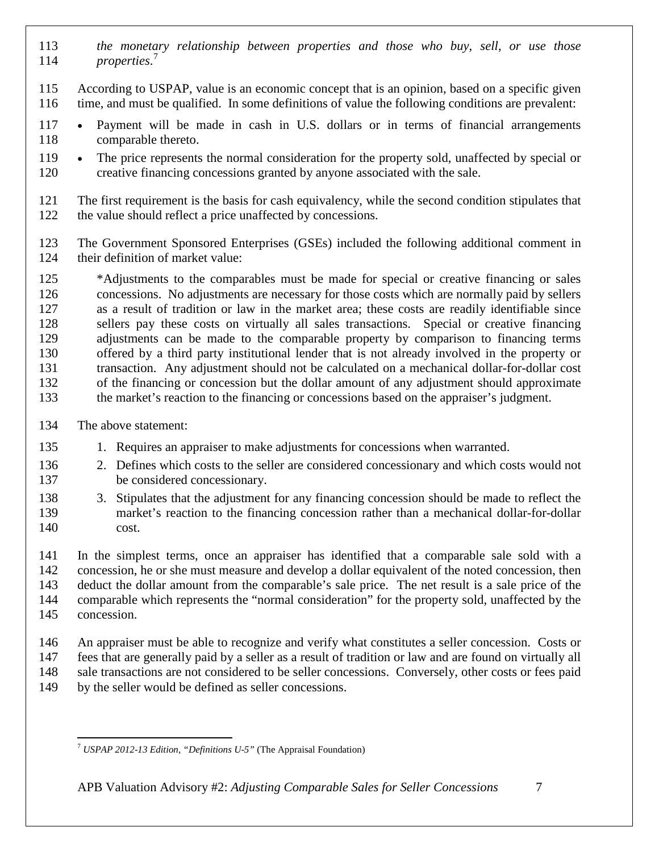- *the monetary relationship between properties and those who buy, sell, or use those properties*. [7](#page-6-0)
- According to USPAP, value is an economic concept that is an opinion, based on a specific given time, and must be qualified. In some definitions of value the following conditions are prevalent:
- Payment will be made in cash in U.S. dollars or in terms of financial arrangements comparable thereto.
- The price represents the normal consideration for the property sold, unaffected by special or creative financing concessions granted by anyone associated with the sale.
- The first requirement is the basis for cash equivalency, while the second condition stipulates that the value should reflect a price unaffected by concessions.
- The Government Sponsored Enterprises (GSEs) included the following additional comment in their definition of market value:

 \*Adjustments to the comparables must be made for special or creative financing or sales concessions. No adjustments are necessary for those costs which are normally paid by sellers as a result of tradition or law in the market area; these costs are readily identifiable since sellers pay these costs on virtually all sales transactions. Special or creative financing adjustments can be made to the comparable property by comparison to financing terms offered by a third party institutional lender that is not already involved in the property or transaction. Any adjustment should not be calculated on a mechanical dollar-for-dollar cost of the financing or concession but the dollar amount of any adjustment should approximate the market's reaction to the financing or concessions based on the appraiser's judgment.

- The above statement:
- 1. Requires an appraiser to make adjustments for concessions when warranted.
- 2. Defines which costs to the seller are considered concessionary and which costs would not be considered concessionary.
- 3. Stipulates that the adjustment for any financing concession should be made to reflect the market's reaction to the financing concession rather than a mechanical dollar-for-dollar cost.

 In the simplest terms, once an appraiser has identified that a comparable sale sold with a concession, he or she must measure and develop a dollar equivalent of the noted concession, then deduct the dollar amount from the comparable's sale price. The net result is a sale price of the comparable which represents the "normal consideration" for the property sold, unaffected by the concession.

- An appraiser must be able to recognize and verify what constitutes a seller concession. Costs or fees that are generally paid by a seller as a result of tradition or law and are found on virtually all sale transactions are not considered to be seller concessions. Conversely, other costs or fees paid
- by the seller would be defined as seller concessions.

<span id="page-6-0"></span>*USPAP 2012-13 Edition, "Definitions U-5"* (The Appraisal Foundation)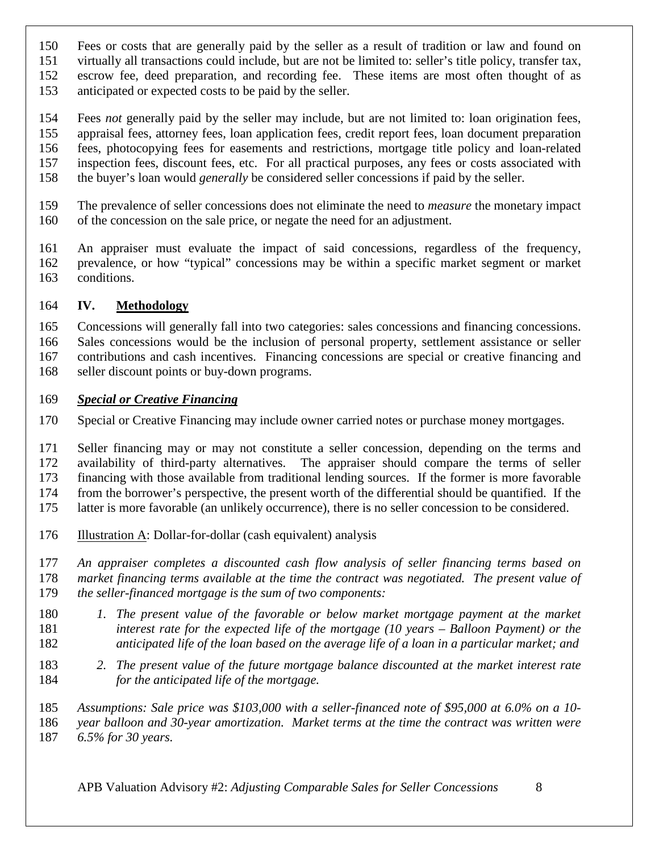- Fees or costs that are generally paid by the seller as a result of tradition or law and found on
- virtually all transactions could include, but are not be limited to: seller's title policy, transfer tax, escrow fee, deed preparation, and recording fee. These items are most often thought of as
- anticipated or expected costs to be paid by the seller.
- Fees *not* generally paid by the seller may include, but are not limited to: loan origination fees, appraisal fees, attorney fees, loan application fees, credit report fees, loan document preparation fees, photocopying fees for easements and restrictions, mortgage title policy and loan-related inspection fees, discount fees, etc. For all practical purposes, any fees or costs associated with the buyer's loan would *generally* be considered seller concessions if paid by the seller.
- The prevalence of seller concessions does not eliminate the need to *measure* the monetary impact of the concession on the sale price, or negate the need for an adjustment.
- An appraiser must evaluate the impact of said concessions, regardless of the frequency, prevalence, or how "typical" concessions may be within a specific market segment or market conditions.

#### **IV. Methodology**

 Concessions will generally fall into two categories: sales concessions and financing concessions. Sales concessions would be the inclusion of personal property, settlement assistance or seller contributions and cash incentives. Financing concessions are special or creative financing and seller discount points or buy-down programs.

#### *Special or Creative Financing*

Special or Creative Financing may include owner carried notes or purchase money mortgages.

 Seller financing may or may not constitute a seller concession, depending on the terms and availability of third-party alternatives. The appraiser should compare the terms of seller financing with those available from traditional lending sources. If the former is more favorable from the borrower's perspective, the present worth of the differential should be quantified. If the latter is more favorable (an unlikely occurrence), there is no seller concession to be considered.

- 176 Illustration A: Dollar-for-dollar (cash equivalent) analysis
- *An appraiser completes a discounted cash flow analysis of seller financing terms based on market financing terms available at the time the contract was negotiated. The present value of*
- *the seller-financed mortgage is the sum of two components:*
- *1. The present value of the favorable or below market mortgage payment at the market interest rate for the expected life of the mortgage (10 years – Balloon Payment) or the anticipated life of the loan based on the average life of a loan in a particular market; and*
- *2. The present value of the future mortgage balance discounted at the market interest rate for the anticipated life of the mortgage.*

 *Assumptions: Sale price was \$103,000 with a seller-financed note of \$95,000 at 6.0% on a 10- year balloon and 30-year amortization. Market terms at the time the contract was written were 6.5% for 30 years.*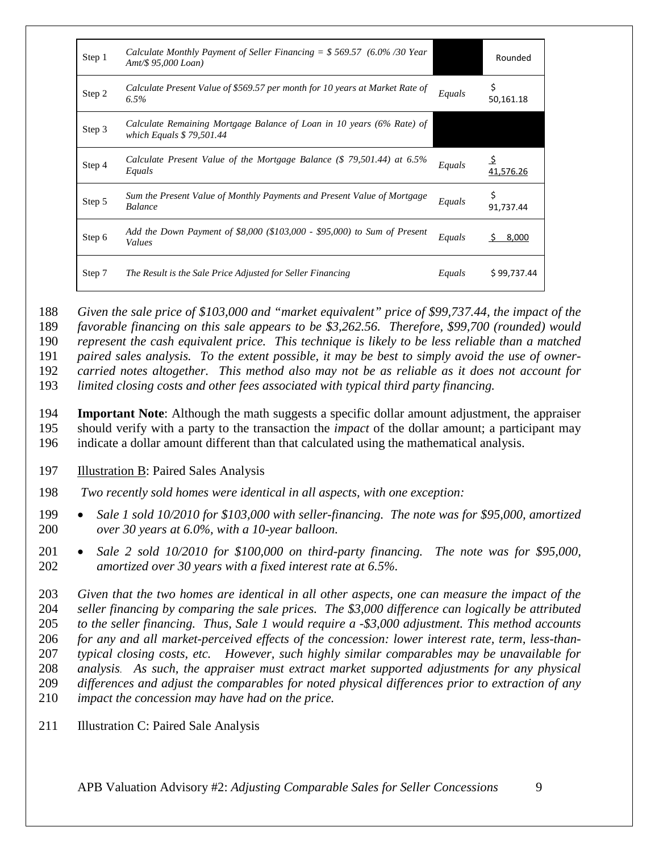| Step 1 | Calculate Monthly Payment of Seller Financing $=$ \$569.57 (6.0%/30 Year)<br>Amt/ $$95,000$ Loan)  |        | Rounded        |
|--------|----------------------------------------------------------------------------------------------------|--------|----------------|
| Step 2 | Calculate Present Value of \$569.57 per month for 10 years at Market Rate of<br>$6.5\%$            | Equals | 50,161.18      |
| Step 3 | Calculate Remaining Mortgage Balance of Loan in 10 years (6% Rate) of<br>which Equals $$79,501.44$ |        |                |
| Step 4 | Calculate Present Value of the Mortgage Balance $(\$ 79,501.44)$ at 6.5%<br>Equals                 | Equals | 41,576.26      |
| Step 5 | Sum the Present Value of Monthly Payments and Present Value of Mortgage<br><b>Balance</b>          | Equals | Ś<br>91,737.44 |
| Step 6 | Add the Down Payment of \$8,000 (\$103,000 - \$95,000) to Sum of Present<br>Values                 | Equals | 8,000          |
| Step 7 | The Result is the Sale Price Adjusted for Seller Financing                                         | Equals | \$99,737.44    |

188 *Given the sale price of \$103,000 and "market equivalent" price of \$99,737.44, the impact of the* 

189 *favorable financing on this sale appears to be \$3,262.56. Therefore, \$99,700 (rounded) would* 

190 *represent the cash equivalent price. This technique is likely to be less reliable than a matched* 

191 *paired sales analysis. To the extent possible, it may be best to simply avoid the use of owner-*

192 *carried notes altogether. This method also may not be as reliable as it does not account for* 

193 *limited closing costs and other fees associated with typical third party financing.*

194 **Important Note**: Although the math suggests a specific dollar amount adjustment, the appraiser 195 should verify with a party to the transaction the *impact* of the dollar amount; a participant may 196 indicate a dollar amount different than that calculated using the mathematical analysis.

- 197 Illustration B: Paired Sales Analysis
- 198 *Two recently sold homes were identical in all aspects, with one exception:*
- 199 *Sale 1 sold 10/2010 for \$103,000 with seller-financing. The note was for \$95,000, amortized*  200 *over 30 years at 6.0%, with a 10-year balloon.*
- 201 *Sale 2 sold 10/2010 for \$100,000 on third-party financing. The note was for \$95,000,*  202 *amortized over 30 years with a fixed interest rate at 6.5%.*

 *Given that the two homes are identical in all other aspects, one can measure the impact of the seller financing by comparing the sale prices. The \$3,000 difference can logically be attributed to the seller financing. Thus, Sale 1 would require a -\$3,000 adjustment. This method accounts for any and all market-perceived effects of the concession: lower interest rate, term, less-than- typical closing costs, etc. However, such highly similar comparables may be unavailable for analysis*. *As such, the appraiser must extract market supported adjustments for any physical differences and adjust the comparables for noted physical differences prior to extraction of any impact the concession may have had on the price.* 

211 Illustration C: Paired Sale Analysis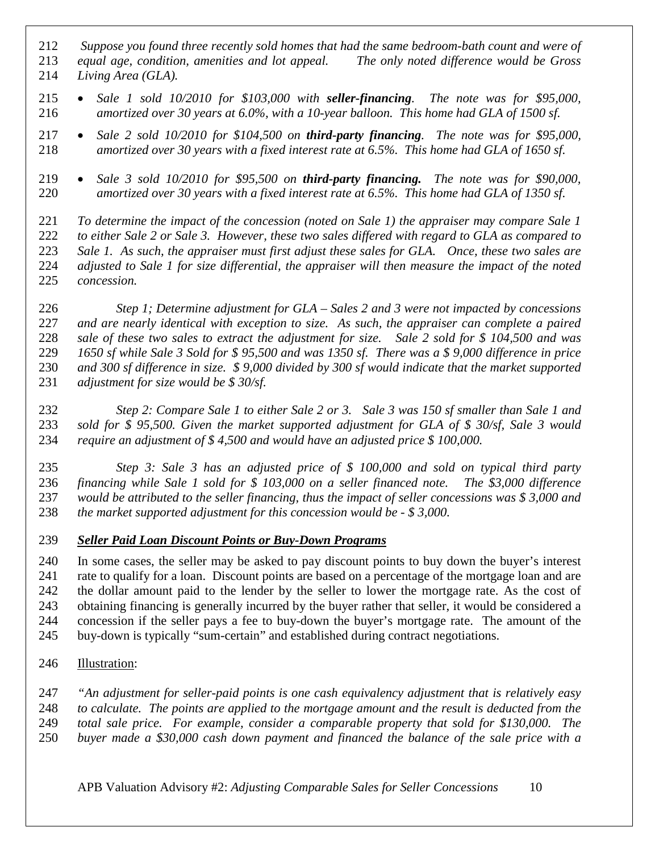- *Suppose you found three recently sold homes that had the same bedroom-bath count and were of*
- *equal age, condition, amenities and lot appeal. The only noted difference would be Gross*
- *Living Area (GLA).*
- *Sale 1 sold 10/2010 for \$103,000 with seller-financing. The note was for \$95,000, amortized over 30 years at 6.0%, with a 10-year balloon. This home had GLA of 1500 sf.*
- *Sale 2 sold 10/2010 for \$104,500 on third-party financing. The note was for \$95,000, amortized over 30 years with a fixed interest rate at 6.5%. This home had GLA of 1650 sf.*
- *Sale 3 sold 10/2010 for \$95,500 on third-party financing. The note was for \$90,000, amortized over 30 years with a fixed interest rate at 6.5%. This home had GLA of 1350 sf.*

 *To determine the impact of the concession (noted on Sale 1) the appraiser may compare Sale 1 to either Sale 2 or Sale 3. However, these two sales differed with regard to GLA as compared to Sale 1. As such, the appraiser must first adjust these sales for GLA. Once, these two sales are adjusted to Sale 1 for size differential, the appraiser will then measure the impact of the noted concession.* 

 *Step 1; Determine adjustment for GLA – Sales 2 and 3 were not impacted by concessions and are nearly identical with exception to size. As such, the appraiser can complete a paired sale of these two sales to extract the adjustment for size. Sale 2 sold for \$ 104,500 and was 1650 sf while Sale 3 Sold for \$ 95,500 and was 1350 sf. There was a \$ 9,000 difference in price and 300 sf difference in size. \$ 9,000 divided by 300 sf would indicate that the market supported adjustment for size would be \$ 30/sf.* 

 *Step 2: Compare Sale 1 to either Sale 2 or 3. Sale 3 was 150 sf smaller than Sale 1 and sold for \$ 95,500. Given the market supported adjustment for GLA of \$ 30/sf, Sale 3 would require an adjustment of \$ 4,500 and would have an adjusted price \$ 100,000.* 

 *Step 3: Sale 3 has an adjusted price of \$ 100,000 and sold on typical third party financing while Sale 1 sold for \$ 103,000 on a seller financed note. The \$3,000 difference would be attributed to the seller financing, thus the impact of seller concessions was \$ 3,000 and the market supported adjustment for this concession would be - \$ 3,000.*

*Seller Paid Loan Discount Points or Buy-Down Programs*

 In some cases, the seller may be asked to pay discount points to buy down the buyer's interest rate to qualify for a loan. Discount points are based on a percentage of the mortgage loan and are the dollar amount paid to the lender by the seller to lower the mortgage rate. As the cost of obtaining financing is generally incurred by the buyer rather that seller, it would be considered a concession if the seller pays a fee to buy-down the buyer's mortgage rate. The amount of the buy-down is typically "sum-certain" and established during contract negotiations.

- Illustration:
- *"An adjustment for seller-paid points is one cash equivalency adjustment that is relatively easy*
- *to calculate. The points are applied to the mortgage amount and the result is deducted from the*
- *total sale price. For example, consider a comparable property that sold for \$130,000. The*
- *buyer made a \$30,000 cash down payment and financed the balance of the sale price with a*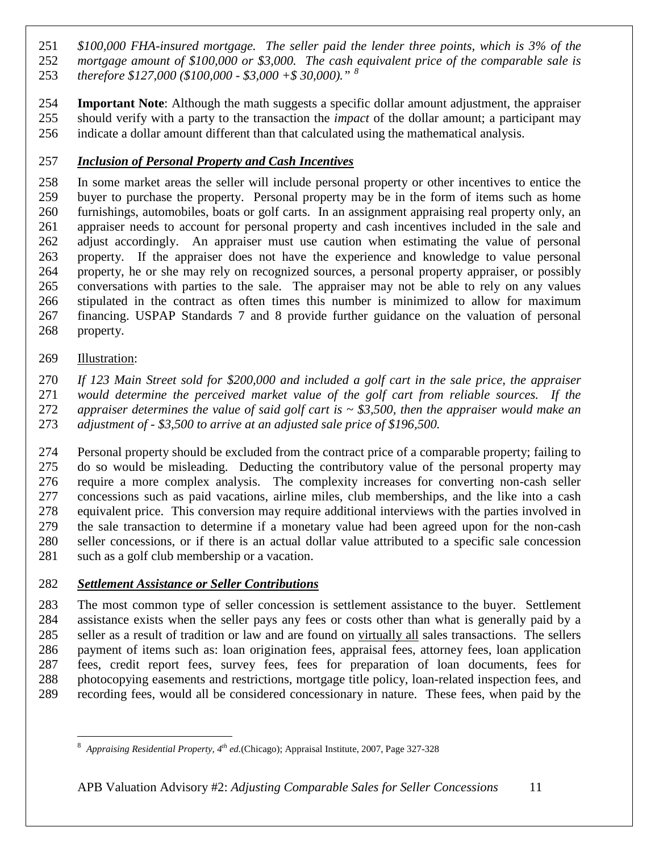*\$100,000 FHA-insured mortgage. The seller paid the lender three points, which is 3% of the mortgage amount of \$100,000 or \$3,000. The cash equivalent price of the comparable sale is therefore \$127,000 (\$100,000 - \$3,000 +\$ 30,000)." [8](#page-10-0)* 

 **Important Note**: Although the math suggests a specific dollar amount adjustment, the appraiser should verify with a party to the transaction the *impact* of the dollar amount; a participant may indicate a dollar amount different than that calculated using the mathematical analysis.

#### *Inclusion of Personal Property and Cash Incentives*

 In some market areas the seller will include personal property or other incentives to entice the buyer to purchase the property. Personal property may be in the form of items such as home furnishings, automobiles, boats or golf carts. In an assignment appraising real property only, an appraiser needs to account for personal property and cash incentives included in the sale and adjust accordingly. An appraiser must use caution when estimating the value of personal property. If the appraiser does not have the experience and knowledge to value personal property, he or she may rely on recognized sources, a personal property appraiser, or possibly conversations with parties to the sale. The appraiser may not be able to rely on any values stipulated in the contract as often times this number is minimized to allow for maximum financing. USPAP Standards 7 and 8 provide further guidance on the valuation of personal property.

Illustration:

 *If 123 Main Street sold for \$200,000 and included a golf cart in the sale price, the appraiser would determine the perceived market value of the golf cart from reliable sources. If the*  appraiser determines the value of said golf cart is  $\sim$  \$3,500, then the appraiser would make an *adjustment of - \$3,500 to arrive at an adjusted sale price of \$196,500.* 

 Personal property should be excluded from the contract price of a comparable property; failing to do so would be misleading. Deducting the contributory value of the personal property may require a more complex analysis. The complexity increases for converting non-cash seller concessions such as paid vacations, airline miles, club memberships, and the like into a cash equivalent price. This conversion may require additional interviews with the parties involved in the sale transaction to determine if a monetary value had been agreed upon for the non-cash seller concessions, or if there is an actual dollar value attributed to a specific sale concession 281 such as a golf club membership or a vacation.

#### *Settlement Assistance or Seller Contributions*

 The most common type of seller concession is settlement assistance to the buyer. Settlement assistance exists when the seller pays any fees or costs other than what is generally paid by a seller as a result of tradition or law and are found on virtually all sales transactions. The sellers payment of items such as: loan origination fees, appraisal fees, attorney fees, loan application fees, credit report fees, survey fees, fees for preparation of loan documents, fees for photocopying easements and restrictions, mortgage title policy, loan-related inspection fees, and recording fees, would all be considered concessionary in nature. These fees, when paid by the

<span id="page-10-0"></span> *Appraising Residential Property, 4th ed.*(Chicago); Appraisal Institute, 2007, Page 327-328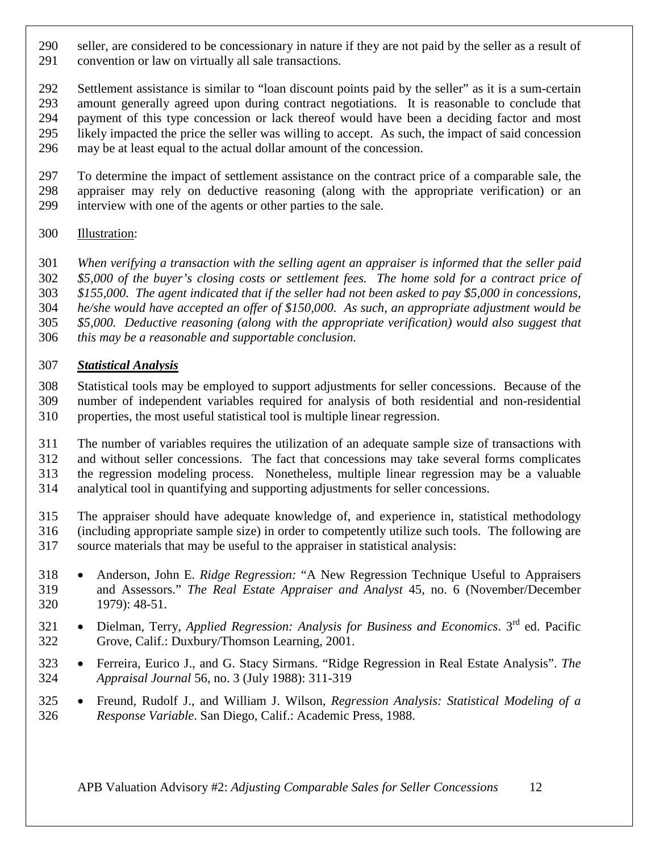- seller, are considered to be concessionary in nature if they are not paid by the seller as a result of convention or law on virtually all sale transactions.
- Settlement assistance is similar to "loan discount points paid by the seller" as it is a sum-certain amount generally agreed upon during contract negotiations. It is reasonable to conclude that payment of this type concession or lack thereof would have been a deciding factor and most likely impacted the price the seller was willing to accept. As such, the impact of said concession may be at least equal to the actual dollar amount of the concession.
- To determine the impact of settlement assistance on the contract price of a comparable sale, the appraiser may rely on deductive reasoning (along with the appropriate verification) or an interview with one of the agents or other parties to the sale.
- Illustration:
- *When verifying a transaction with the selling agent an appraiser is informed that the seller paid*
- *\$5,000 of the buyer's closing costs or settlement fees. The home sold for a contract price of*
- *\$155,000. The agent indicated that if the seller had not been asked to pay \$5,000 in concessions,*
- *he/she would have accepted an offer of \$150,000. As such, an appropriate adjustment would be*
- *\$5,000. Deductive reasoning (along with the appropriate verification) would also suggest that*
- *this may be a reasonable and supportable conclusion.*

#### *Statistical Analysis*

- Statistical tools may be employed to support adjustments for seller concessions. Because of the number of independent variables required for analysis of both residential and non-residential properties, the most useful statistical tool is multiple linear regression.
- The number of variables requires the utilization of an adequate sample size of transactions with and without seller concessions. The fact that concessions may take several forms complicates the regression modeling process. Nonetheless, multiple linear regression may be a valuable analytical tool in quantifying and supporting adjustments for seller concessions.
- The appraiser should have adequate knowledge of, and experience in, statistical methodology (including appropriate sample size) in order to competently utilize such tools. The following are source materials that may be useful to the appraiser in statistical analysis:
- Anderson, John E. *Ridge Regression:* "A New Regression Technique Useful to Appraisers and Assessors." *The Real Estate Appraiser and Analyst* 45, no. 6 (November/December 1979): 48-51.
- <sup>321</sup> Dielman, Terry, *Applied Regression: Analysis for Business and Economics*. 3<sup>rd</sup> ed. Pacific Grove, Calif.: Duxbury/Thomson Learning, 2001.
- Ferreira, Eurico J., and G. Stacy Sirmans. "Ridge Regression in Real Estate Analysis". *The Appraisal Journal* 56, no. 3 (July 1988): 311-319
- Freund, Rudolf J., and William J. Wilson, *Regression Analysis: Statistical Modeling of a Response Variable*. San Diego, Calif.: Academic Press, 1988.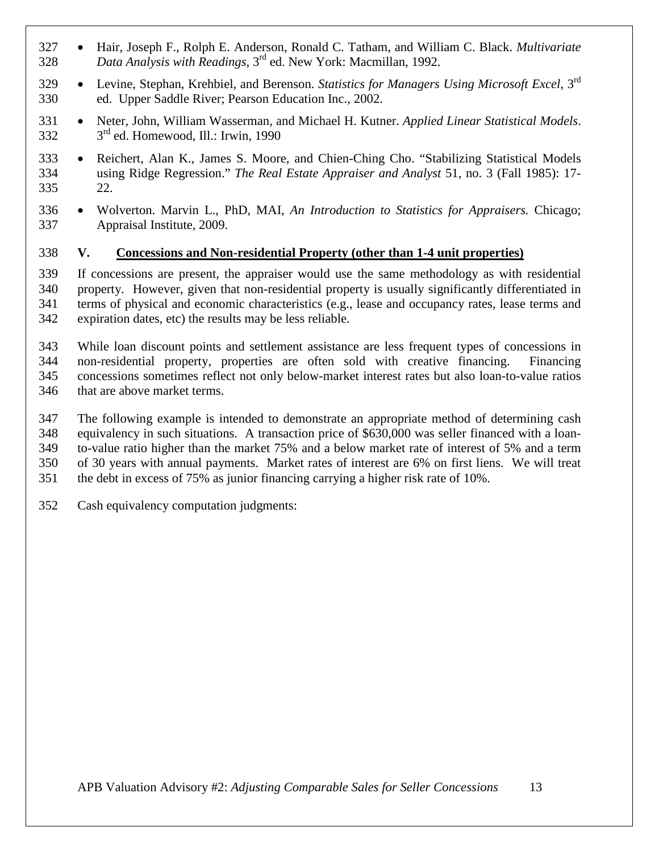- Hair, Joseph F., Rolph E. Anderson, Ronald C. Tatham, and William C. Black. *Multivariate*  328 Data Analysis with Readings,  $3^{\text{rd}}$  ed. New York: Macmillan, 1992.
- Levine, Stephan, Krehbiel, and Berenson. *Statistics for Managers Using Microsoft Excel*, 3rd ed. Upper Saddle River; Pearson Education Inc., 2002.
- Neter, John, William Wasserman, and Michael H. Kutner. *Applied Linear Statistical Models*.  $332 \qquad 3^{rd}$  ed. Homewood, Ill.: Irwin, 1990
- Reichert, Alan K., James S. Moore, and Chien-Ching Cho. "Stabilizing Statistical Models using Ridge Regression." *The Real Estate Appraiser and Analyst* 51, no. 3 (Fall 1985): 17- 22.
- Wolverton. Marvin L., PhD, MAI, *An Introduction to Statistics for Appraisers.* Chicago; Appraisal Institute, 2009.

#### **V. Concessions and Non-residential Property (other than 1-4 unit properties)**

 If concessions are present, the appraiser would use the same methodology as with residential property. However, given that non-residential property is usually significantly differentiated in terms of physical and economic characteristics (e.g., lease and occupancy rates, lease terms and expiration dates, etc) the results may be less reliable.

 While loan discount points and settlement assistance are less frequent types of concessions in non-residential property, properties are often sold with creative financing. Financing concessions sometimes reflect not only below-market interest rates but also loan-to-value ratios that are above market terms.

- The following example is intended to demonstrate an appropriate method of determining cash equivalency in such situations. A transaction price of \$630,000 was seller financed with a loan-
- to-value ratio higher than the market 75% and a below market rate of interest of 5% and a term
- of 30 years with annual payments. Market rates of interest are 6% on first liens. We will treat
- the debt in excess of 75% as junior financing carrying a higher risk rate of 10%.
- Cash equivalency computation judgments: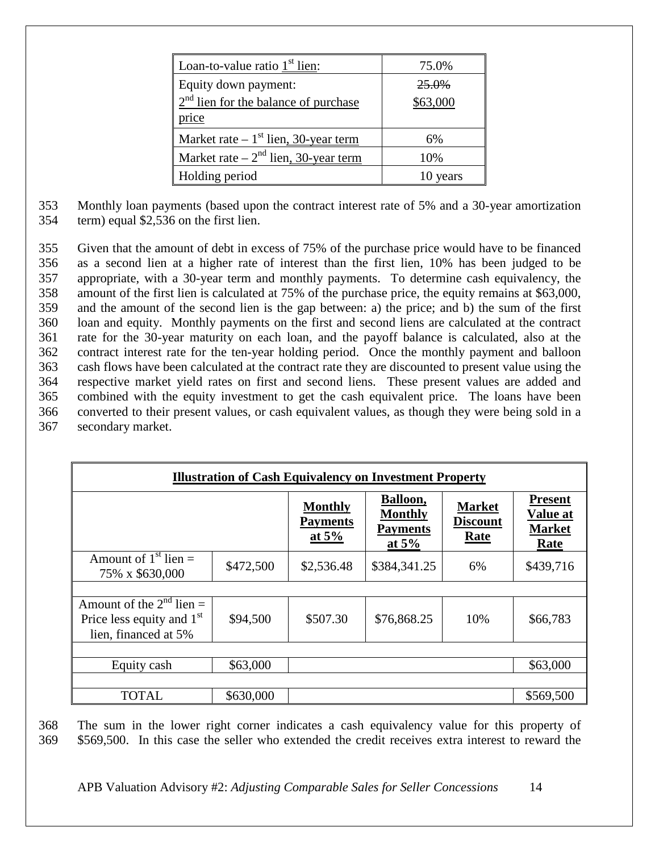| Loan-to-value ratio $1st$ lien:                            | 75.0%    |
|------------------------------------------------------------|----------|
| Equity down payment:                                       | 25.0%    |
| $\frac{2^{nd} \text{lien for the balance of purchase}}{1}$ | \$63,000 |
| price                                                      |          |
| Market rate $-1$ <sup>st</sup> lien, 30-year term          | 6%       |
| Market rate $-2nd$ lien, 30-year term                      | 10%      |
| Holding period                                             | 10 years |

353 Monthly loan payments (based upon the contract interest rate of 5% and a 30-year amortization 354 term) equal \$2,536 on the first lien.

 Given that the amount of debt in excess of 75% of the purchase price would have to be financed as a second lien at a higher rate of interest than the first lien, 10% has been judged to be appropriate, with a 30-year term and monthly payments. To determine cash equivalency, the amount of the first lien is calculated at 75% of the purchase price, the equity remains at \$63,000, and the amount of the second lien is the gap between: a) the price; and b) the sum of the first loan and equity. Monthly payments on the first and second liens are calculated at the contract rate for the 30-year maturity on each loan, and the payoff balance is calculated, also at the contract interest rate for the ten-year holding period. Once the monthly payment and balloon cash flows have been calculated at the contract rate they are discounted to present value using the respective market yield rates on first and second liens. These present values are added and combined with the equity investment to get the cash equivalent price. The loans have been converted to their present values, or cash equivalent values, as though they were being sold in a secondary market.

| <b>Illustration of Cash Equivalency on Investment Property</b>                       |           |                                              |                                                          |                                          |                                                     |
|--------------------------------------------------------------------------------------|-----------|----------------------------------------------|----------------------------------------------------------|------------------------------------------|-----------------------------------------------------|
|                                                                                      |           | <b>Monthly</b><br><b>Payments</b><br>at $5%$ | Balloon,<br><b>Monthly</b><br><b>Payments</b><br>at $5%$ | <b>Market</b><br><b>Discount</b><br>Rate | <b>Present</b><br>Value at<br><b>Market</b><br>Rate |
| Amount of $1st$ lien $=$<br>75% x \$630,000                                          | \$472,500 | \$2,536.48                                   | \$384,341.25                                             | 6%                                       | \$439,716                                           |
|                                                                                      |           |                                              |                                                          |                                          |                                                     |
| Amount of the $2^{nd}$ lien =<br>Price less equity and $1st$<br>lien, financed at 5% | \$94,500  | \$507.30                                     | \$76,868.25                                              | 10%                                      | \$66,783                                            |
|                                                                                      |           |                                              |                                                          |                                          |                                                     |
| Equity cash                                                                          | \$63,000  |                                              |                                                          |                                          | \$63,000                                            |
| <b>TOTAL</b>                                                                         | \$630,000 |                                              |                                                          |                                          | \$569,500                                           |

368 The sum in the lower right corner indicates a cash equivalency value for this property of 369 \$569,500. In this case the seller who extended the credit receives extra interest to reward the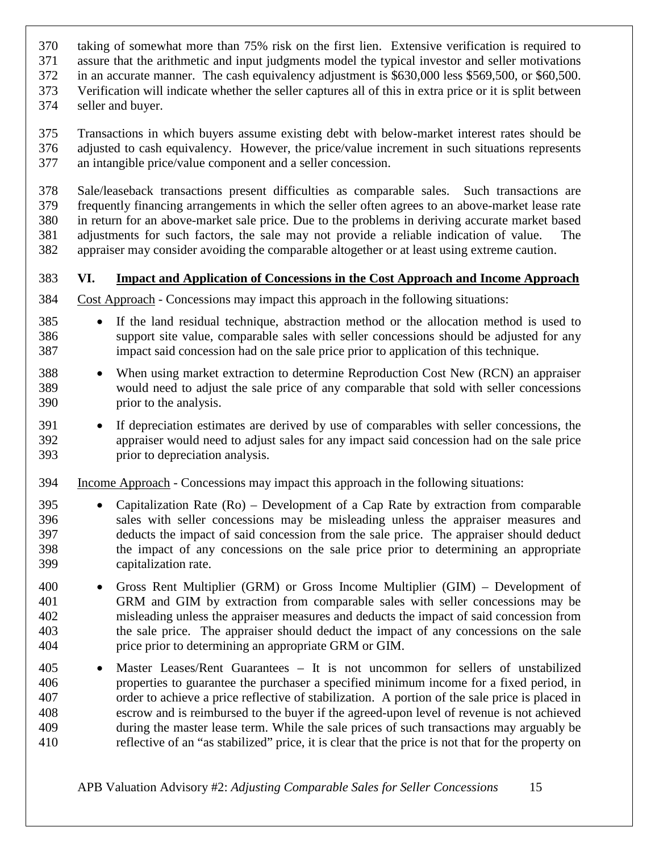- taking of somewhat more than 75% risk on the first lien. Extensive verification is required to
- assure that the arithmetic and input judgments model the typical investor and seller motivations
- in an accurate manner. The cash equivalency adjustment is \$630,000 less \$569,500, or \$60,500.
- Verification will indicate whether the seller captures all of this in extra price or it is split between
- seller and buyer.

 Transactions in which buyers assume existing debt with below-market interest rates should be adjusted to cash equivalency. However, the price/value increment in such situations represents an intangible price/value component and a seller concession.

 Sale/leaseback transactions present difficulties as comparable sales. Such transactions are frequently financing arrangements in which the seller often agrees to an above-market lease rate in return for an above-market sale price. Due to the problems in deriving accurate market based adjustments for such factors, the sale may not provide a reliable indication of value. The appraiser may consider avoiding the comparable altogether or at least using extreme caution.

#### **VI. Impact and Application of Concessions in the Cost Approach and Income Approach**

- Cost Approach Concessions may impact this approach in the following situations:
- If the land residual technique, abstraction method or the allocation method is used to support site value, comparable sales with seller concessions should be adjusted for any impact said concession had on the sale price prior to application of this technique.
- When using market extraction to determine Reproduction Cost New (RCN) an appraiser would need to adjust the sale price of any comparable that sold with seller concessions prior to the analysis.
- If depreciation estimates are derived by use of comparables with seller concessions, the appraiser would need to adjust sales for any impact said concession had on the sale price prior to depreciation analysis.
- Income Approach Concessions may impact this approach in the following situations:
- Capitalization Rate (Ro) Development of a Cap Rate by extraction from comparable sales with seller concessions may be misleading unless the appraiser measures and deducts the impact of said concession from the sale price. The appraiser should deduct the impact of any concessions on the sale price prior to determining an appropriate capitalization rate.
- Gross Rent Multiplier (GRM) or Gross Income Multiplier (GIM) Development of GRM and GIM by extraction from comparable sales with seller concessions may be misleading unless the appraiser measures and deducts the impact of said concession from the sale price. The appraiser should deduct the impact of any concessions on the sale price prior to determining an appropriate GRM or GIM.
- Master Leases/Rent Guarantees It is not uncommon for sellers of unstabilized properties to guarantee the purchaser a specified minimum income for a fixed period, in order to achieve a price reflective of stabilization. A portion of the sale price is placed in escrow and is reimbursed to the buyer if the agreed-upon level of revenue is not achieved during the master lease term. While the sale prices of such transactions may arguably be reflective of an "as stabilized" price, it is clear that the price is not that for the property on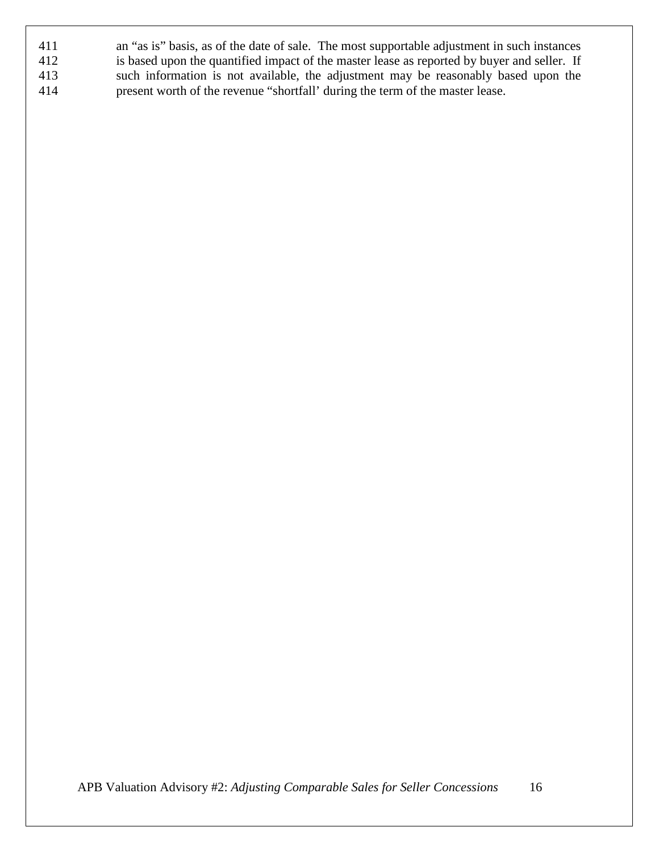| 411 | an "as is" basis, as of the date of sale. The most supportable adjustment in such instances |
|-----|---------------------------------------------------------------------------------------------|
| 412 | is based upon the quantified impact of the master lease as reported by buyer and seller. If |
| 413 | such information is not available, the adjustment may be reasonably based upon the          |
| 414 | present worth of the revenue "shortfall' during the term of the master lease.               |